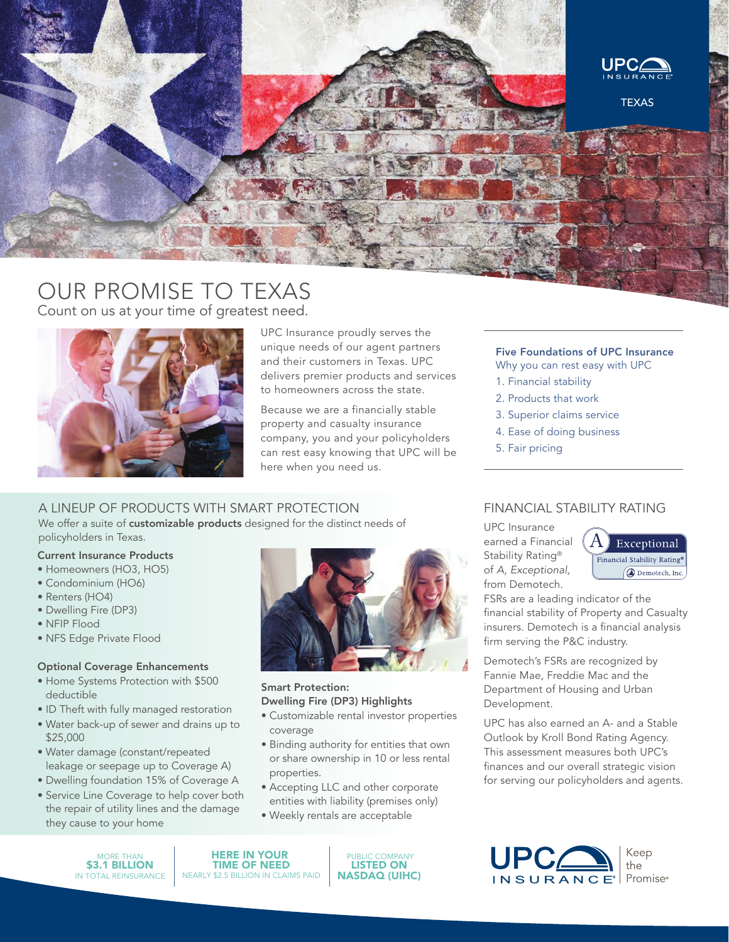

# OUR PROMISE TO TEXAS Count on us at your time of greatest need.



UPC Insurance proudly serves the unique needs of our agent partners and their customers in Texas. UPC delivers premier products and services to homeowners across the state.

Because we are a financially stable property and casualty insurance company, you and your policyholders can rest easy knowing that UPC will be here when you need us.

### A LINEUP OF PRODUCTS WITH SMART PROTECTION

We offer a suite of customizable products designed for the distinct needs of policyholders in Texas.

### Current Insurance Products

- Homeowners (HO3, HO5)
- Condominium (HO6)
- Renters (HO4)
- Dwelling Fire (DP3)
- NFIP Flood
- NFS Edge Private Flood

### Optional Coverage Enhancements

- Home Systems Protection with \$500 deductible
- ID Theft with fully managed restoration
- Water back-up of sewer and drains up to \$25,000
- Water damage (constant/repeated leakage or seepage up to Coverage A)
- Dwelling foundation 15% of Coverage A
- Service Line Coverage to help cover both the repair of utility lines and the damage they cause to your home



### Smart Protection: Dwelling Fire (DP3) Highlights

- Customizable rental investor properties coverage
- Binding authority for entities that own or share ownership in 10 or less rental properties.
- Accepting LLC and other corporate entities with liability (premises only)
- Weekly rentals are acceptable

MORE THAN IN TOTAL REINSURANCE \$3.1 BILLION

HERE IN YOUR TIME OF NEED NEARLY \$2.5 BILLION IN CLAIMS PAID

 PUBLIC COMPANY LISTED ON NASDAQ (UIHC)

### Five Foundations of UPC Insurance

Why you can rest easy with UPC

- 1. Financial stability
- 2. Products that work
- 3. Superior claims service
- 4. Ease of doing business
- 5. Fair pricing

### FINANCIAL STABILITY RATING

UPC Insurance earned a Financial Stability Rating® of *A, Exceptional,* from Demotech.



FSRs are a leading indicator of the financial stability of Property and Casualty insurers. Demotech is a financial analysis firm serving the P&C industry.

Demotech's FSRs are recognized by Fannie Mae, Freddie Mac and the Department of Housing and Urban Development.

UPC has also earned an A- and a Stable Outlook by Kroll Bond Rating Agency. This assessment measures both UPC's finances and our overall strategic vision for serving our policyholders and agents.